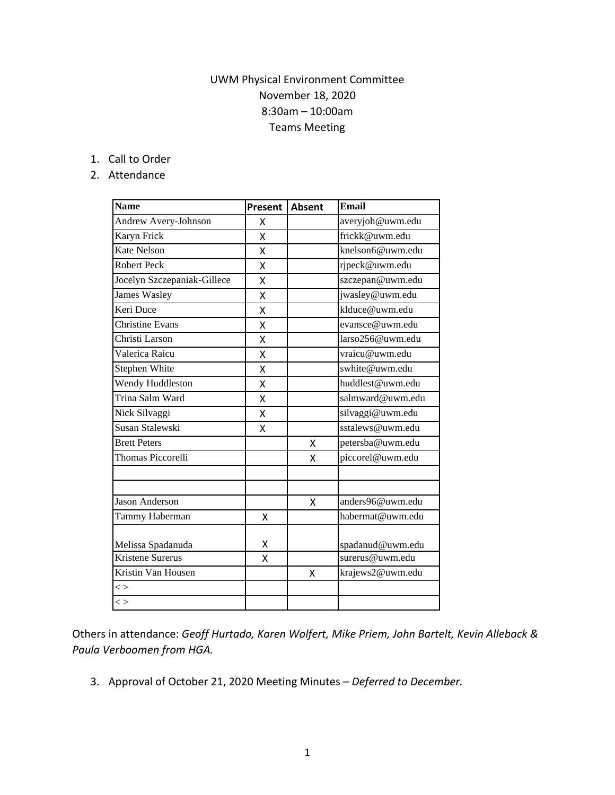## UWM Physical Environment Committee November 18, 2020 8:30am – 10:00am Teams Meeting

## 1. Call to Order

## 2. Attendance

| <b>Name</b>                 | Present | <b>Absent</b> | <b>Email</b>     |
|-----------------------------|---------|---------------|------------------|
| Andrew Avery-Johnson        | X       |               | averyjoh@uwm.edu |
| Karyn Frick                 | X       |               | frickk@uwm.edu   |
| <b>Kate Nelson</b>          | Χ       |               | knelson6@uwm.edu |
| <b>Robert Peck</b>          | X       |               | rjpeck@uwm.edu   |
| Jocelyn Szczepaniak-Gillece | Χ       |               | szczepan@uwm.edu |
| <b>James Wasley</b>         | Χ       |               | jwasley@uwm.edu  |
| Keri Duce                   | Χ       |               | klduce@uwm.edu   |
| <b>Christine Evans</b>      | Χ       |               | evansce@uwm.edu  |
| Christi Larson              | Χ       |               | larso256@uwm.edu |
| Valerica Raicu              | Χ       |               | vraicu@uwm.edu   |
| Stephen White               | Χ       |               | swhite@uwm.edu   |
| Wendy Huddleston            | Χ       |               | huddlest@uwm.edu |
| Trina Salm Ward             | X       |               | salmward@uwm.edu |
| Nick Silvaggi               | Χ       |               | silvaggi@uwm.edu |
| Susan Stalewski             | X       |               | sstalews@uwm.edu |
| <b>Brett Peters</b>         |         | x             | petersba@uwm.edu |
| Thomas Piccorelli           |         | x             | piccorel@uwm.edu |
|                             |         |               |                  |
| <b>Jason Anderson</b>       |         | X             | anders96@uwm.edu |
| Tammy Haberman              | Χ       |               | habermat@uwm.edu |
| Melissa Spadanuda           | х       |               | spadanud@uwm.edu |
| Kristene Surerus            | Χ       |               | surerus@uwm.edu  |
| Kristin Van Housen          |         | X             | krajews2@uwm.edu |
| $\lt$                       |         |               |                  |
| $\lt$                       |         |               |                  |

Others in attendance: *Geoff Hurtado, Karen Wolfert, Mike Priem, John Bartelt, Kevin Alleback & Paula Verboomen from HGA.*

3. Approval of October 21, 2020 Meeting Minutes – *Deferred to December.*